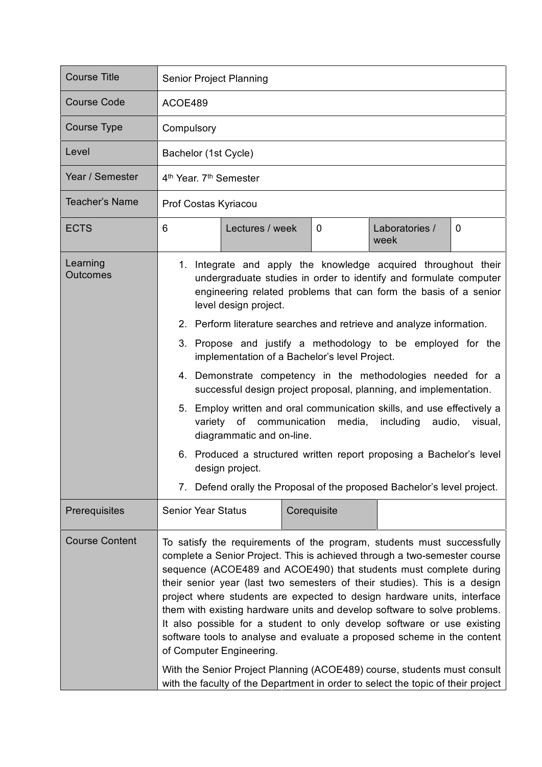| <b>Course Title</b>         | Senior Project Planning                                                                                                                                                                                                                                                                                                                                                                                                                                                                                                                                                                                                                                                                                                                                                                                                                                                                                              |             |                        |   |  |
|-----------------------------|----------------------------------------------------------------------------------------------------------------------------------------------------------------------------------------------------------------------------------------------------------------------------------------------------------------------------------------------------------------------------------------------------------------------------------------------------------------------------------------------------------------------------------------------------------------------------------------------------------------------------------------------------------------------------------------------------------------------------------------------------------------------------------------------------------------------------------------------------------------------------------------------------------------------|-------------|------------------------|---|--|
| <b>Course Code</b>          | ACOE489                                                                                                                                                                                                                                                                                                                                                                                                                                                                                                                                                                                                                                                                                                                                                                                                                                                                                                              |             |                        |   |  |
| Course Type                 | Compulsory                                                                                                                                                                                                                                                                                                                                                                                                                                                                                                                                                                                                                                                                                                                                                                                                                                                                                                           |             |                        |   |  |
| Level                       | Bachelor (1st Cycle)                                                                                                                                                                                                                                                                                                                                                                                                                                                                                                                                                                                                                                                                                                                                                                                                                                                                                                 |             |                        |   |  |
| Year / Semester             | 4 <sup>th</sup> Year, 7 <sup>th</sup> Semester                                                                                                                                                                                                                                                                                                                                                                                                                                                                                                                                                                                                                                                                                                                                                                                                                                                                       |             |                        |   |  |
| <b>Teacher's Name</b>       | Prof Costas Kyriacou                                                                                                                                                                                                                                                                                                                                                                                                                                                                                                                                                                                                                                                                                                                                                                                                                                                                                                 |             |                        |   |  |
| <b>ECTS</b>                 | 6<br>Lectures / week                                                                                                                                                                                                                                                                                                                                                                                                                                                                                                                                                                                                                                                                                                                                                                                                                                                                                                 | 0           | Laboratories /<br>week | 0 |  |
| Learning<br><b>Outcomes</b> | 1. Integrate and apply the knowledge acquired throughout their<br>undergraduate studies in order to identify and formulate computer<br>engineering related problems that can form the basis of a senior<br>level design project.<br>2. Perform literature searches and retrieve and analyze information.<br>3. Propose and justify a methodology to be employed for the<br>implementation of a Bachelor's level Project.<br>4. Demonstrate competency in the methodologies needed for a<br>successful design project proposal, planning, and implementation.<br>5. Employ written and oral communication skills, and use effectively a<br>of communication<br>media,<br>including<br>audio,<br>variety<br>visual,<br>diagrammatic and on-line.<br>6. Produced a structured written report proposing a Bachelor's level<br>design project.<br>7. Defend orally the Proposal of the proposed Bachelor's level project. |             |                        |   |  |
|                             |                                                                                                                                                                                                                                                                                                                                                                                                                                                                                                                                                                                                                                                                                                                                                                                                                                                                                                                      |             |                        |   |  |
|                             |                                                                                                                                                                                                                                                                                                                                                                                                                                                                                                                                                                                                                                                                                                                                                                                                                                                                                                                      |             |                        |   |  |
|                             |                                                                                                                                                                                                                                                                                                                                                                                                                                                                                                                                                                                                                                                                                                                                                                                                                                                                                                                      |             |                        |   |  |
|                             |                                                                                                                                                                                                                                                                                                                                                                                                                                                                                                                                                                                                                                                                                                                                                                                                                                                                                                                      |             |                        |   |  |
|                             |                                                                                                                                                                                                                                                                                                                                                                                                                                                                                                                                                                                                                                                                                                                                                                                                                                                                                                                      |             |                        |   |  |
|                             |                                                                                                                                                                                                                                                                                                                                                                                                                                                                                                                                                                                                                                                                                                                                                                                                                                                                                                                      |             |                        |   |  |
| Prerequisites               | <b>Senior Year Status</b>                                                                                                                                                                                                                                                                                                                                                                                                                                                                                                                                                                                                                                                                                                                                                                                                                                                                                            | Corequisite |                        |   |  |
| <b>Course Content</b>       | To satisfy the requirements of the program, students must successfully<br>complete a Senior Project. This is achieved through a two-semester course<br>sequence (ACOE489 and ACOE490) that students must complete during<br>their senior year (last two semesters of their studies). This is a design<br>project where students are expected to design hardware units, interface<br>them with existing hardware units and develop software to solve problems.<br>It also possible for a student to only develop software or use existing<br>software tools to analyse and evaluate a proposed scheme in the content<br>of Computer Engineering.<br>With the Senior Project Planning (ACOE489) course, students must consult<br>with the faculty of the Department in order to select the topic of their project                                                                                                      |             |                        |   |  |